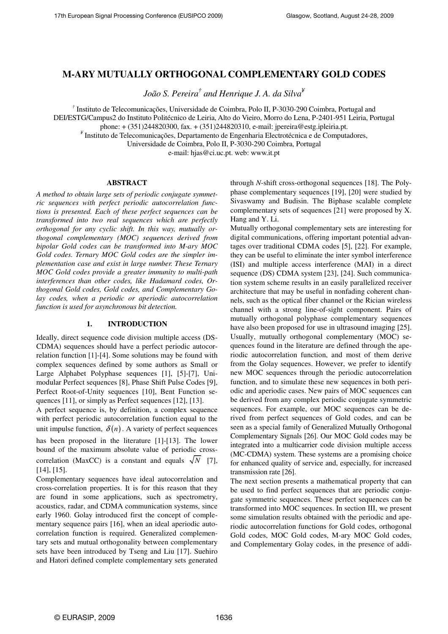# **M-ARY MUTUALLY ORTHOGONAL COMPLEMENTARY GOLD CODES**

*João S. Pereira† and Henrique J. A. da Silva¥*

*†* Instituto de Telecomunicações, Universidade de Coimbra, Polo II, P-3030-290 Coimbra, Portugal and

DEI/ESTG/Campus2 do Instituto Politécnico de Leiria, Alto do Vieiro, Morro do Lena, P-2401-951 Leiria, Portugal

phone: + (351)244820300, fax. + (351)244820310, e-mail: jpereira@estg.ipleiria.pt.

*¥* Instituto de Telecomunicações, Departamento de Engenharia Electrotécnica e de Computadores,

Universidade de Coimbra, Polo II, P-3030-290 Coimbra, Portugal

e-mail: hjas@ci.uc.pt. web: www.it.pt

## **ABSTRACT**

*A method to obtain large sets of periodic conjugate symmetric sequences with perfect periodic autocorrelation functions is presented. Each of these perfect sequences can be transformed into two real sequences which are perfectly orthogonal for any cyclic shift. In this way, mutually orthogonal complementary (MOC) sequences derived from bipolar Gold codes can be transformed into M-ary MOC Gold codes. Ternary MOC Gold codes are the simpler implementation case and exist in large number. These Ternary MOC Gold codes provide a greater immunity to multi-path interferences than other codes, like Hadamard codes, Orthogonal Gold codes, Gold codes, and Complementary Golay codes, when a periodic or aperiodic autocorrelation function is used for asynchronous bit detection.* 

#### **1. INTRODUCTION**

Ideally, direct sequence code division multiple access (DS-CDMA) sequences should have a perfect periodic autocorrelation function [1]-[4]. Some solutions may be found with complex sequences defined by some authors as Small or Large Alphabet Polyphase sequences [1], [5]-[7], Unimodular Perfect sequences [8], Phase Shift Pulse Codes [9], Perfect Root-of-Unity sequences [10], Bent Function sequences [11], or simply as Perfect sequences [12], [13].

A perfect sequence is, by definition, a complex sequence with perfect periodic autocorrelation function equal to the unit impulse function,  $\delta(n)$ . A variety of perfect sequences

has been proposed in the literature [1]-[13]. The lower bound of the maximum absolute value of periodic crosscorrelation (MaxCC) is a constant and equals  $\sqrt{N}$  [7], [14], [15].

Complementary sequences have ideal autocorrelation and cross-correlation properties. It is for this reason that they are found in some applications, such as spectrometry, acoustics, radar, and CDMA communication systems, since early 1960. Golay introduced first the concept of complementary sequence pairs [16], when an ideal aperiodic autocorrelation function is required. Generalized complementary sets and mutual orthogonality between complementary sets have been introduced by Tseng and Liu [17]. Suehiro and Hatori defined complete complementary sets generated through *N*-shift cross-orthogonal sequences [18]. The Polyphase complementary sequences [19], [20] were studied by Sivaswamy and Budisin. The Biphase scalable complete complementary sets of sequences [21] were proposed by X. Hang and Y. Li.

Mutually orthogonal complementary sets are interesting for digital communications, offering important potential advantages over traditional CDMA codes [5], [22]. For example, they can be useful to eliminate the inter symbol interference (ISI) and multiple access interference (MAI) in a direct sequence (DS) CDMA system [23], [24]. Such communication system scheme results in an easily parallelized receiver architecture that may be useful in nonfading coherent channels, such as the optical fiber channel or the Rician wireless channel with a strong line-of-sight component. Pairs of mutually orthogonal polyphase complementary sequences have also been proposed for use in ultrasound imaging [25]. Usually, mutually orthogonal complementary (MOC) sequences found in the literature are defined through the aperiodic autocorrelation function, and most of them derive from the Golay sequences. However, we prefer to identify new MOC sequences through the periodic autocorrelation function, and to simulate these new sequences in both periodic and aperiodic cases. New pairs of MOC sequences can be derived from any complex periodic conjugate symmetric sequences. For example, our MOC sequences can be derived from perfect sequences of Gold codes, and can be seen as a special family of Generalized Mutually Orthogonal Complementary Signals [26]. Our MOC Gold codes may be integrated into a multicarrier code division multiple access (MC-CDMA) system. These systems are a promising choice for enhanced quality of service and, especially, for increased transmission rate [26].

The next section presents a mathematical property that can be used to find perfect sequences that are periodic conjugate symmetric sequences. These perfect sequences can be transformed into MOC sequences. In section III, we present some simulation results obtained with the periodic and aperiodic autocorrelation functions for Gold codes, orthogonal Gold codes, MOC Gold codes, M-ary MOC Gold codes, and Complementary Golay codes, in the presence of addi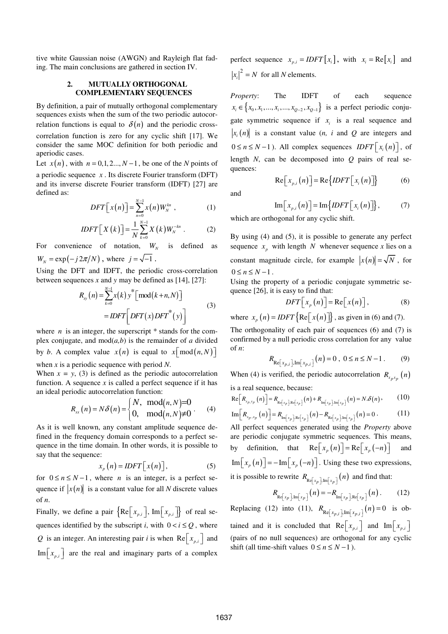tive white Gaussian noise (AWGN) and Rayleigh flat fading. The main conclusions are gathered in section IV.

## **2. MUTUALLY ORTHOGONAL COMPLEMENTARY SEQUENCES**

By definition, a pair of mutually orthogonal complementary sequences exists when the sum of the two periodic autocorrelation functions is equal to  $\delta(n)$  and the periodic crosscorrelation function is zero for any cyclic shift [17]. We consider the same MOC definition for both periodic and aperiodic cases.

Let  $x(n)$ , with  $n = 0, 1, 2, ..., N-1$ , be one of the *N* points of a periodic sequence *x* . Its discrete Fourier transform (DFT) and its inverse discrete Fourier transform (IDFT) [27] are defined as:

$$
DFT\big[x(n)\big] = \sum_{n=0}^{N-1} x(n)W_N^{kn} \t{,} \t(1)
$$

$$
IDFT\left[X(k)\right] = \frac{1}{N} \sum_{k=0}^{N-1} X(k) W_N^{-kn} . \tag{2}
$$

For convenience of notation,  $W_N$  is defined as  $W_N = \exp(-j2\pi/N)$ , where  $j = \sqrt{-1}$ .

Using the DFT and IDFT, the periodic cross-correlation between sequences *x* and *y* may be defined as [14], [27]:

$$
R_{xy}(n) = \sum_{k=0}^{N-1} x(k) y^* \left[ \text{mod}(k+n, N) \right]
$$
  
= 
$$
IDFT \left[ DFT(x) DFT^*(y) \right]
$$
 (3)

where  $n$  is an integer, the superscript  $*$  stands for the complex conjugate, and  $mod(a,b)$  is the remainder of *a* divided by *b*. A complex value  $x(n)$  is equal to  $x \mod (n, N)$ 

when *x* is a periodic sequence with period *N*.

When  $x = y$ , (3) is defined as the periodic autocorrelation function. A sequence  $x$  is called a perfect sequence if it has an ideal periodic autocorrelation function:

$$
R_{xx}(n) = N\delta(n) = \begin{cases} N, & \text{mod}(n, N) = 0 \\ 0, & \text{mod}(n, N) \neq 0 \end{cases} (4)
$$

As it is well known, any constant amplitude sequence defined in the frequency domain corresponds to a perfect sequence in the time domain. In other words, it is possible to say that the sequence:

$$
x_p(n) = IDFT\big[x(n)\big],\tag{5}
$$

for  $0 \le n \le N-1$ , where *n* is an integer, is a perfect sequence if  $|x(n)|$  is a constant value for all *N* discrete values of *n*.

Finally, we define a pair  $\{ \text{Re} \big[ x_{p,i} \big], \text{Im} \big[ x_{p,i} \big] \}$  of real sequences identified by the subscript *i*, with  $0 < i \leq Q$ , where Q is an integer. An interesting pair *i* is when  $\text{Re}\left[x_{p,i}\right]$  and  $\text{Im}\left[x_{p,i}\right]$  are the real and imaginary parts of a complex perfect sequence  $x_{p,i} = IDFT[x_i]$ , with  $x_i = \text{Re}[x_i]$  and  $|x_i|^2 = N$  for all *N* elements.

*Property*: The IDFT of each sequence  $x_i \in \{x_0, x_1, ..., x_i, ..., x_{Q-2}, x_{Q-1}\}$  is a perfect periodic conjugate symmetric sequence if  $x_i$  is a real sequence and  $\{ x_i(n) \}$  is a constant value (*n, i* and Q are integers and  $0 \le n \le N - 1$ ). All complex sequences  $IDFT\lceil x_i(n) \rceil$ , of length *N*, can be decomposed into *Q* pairs of real sequences:  $Re\left[x_{p,i}(n)\right] = Re\{IDFT\left[x_i(n)\right]\}$  (6)

and

$$
\operatorname{Im}\big[x_{p,i}(n)\big]=\operatorname{Im}\big\{IDFT\big[x_i(n)\big]\big\},\qquad(7)
$$

which are orthogonal for any cyclic shift.

By using (4) and (5), it is possible to generate any perfect sequence  $x_p$  with length N whenever sequence x lies on a constant magnitude circle, for example  $|x(n)| = \sqrt{N}$ , for  $0 \le n \le N-1$ .

Using the property of a periodic conjugate symmetric sequence [26], it is easy to find that:

$$
DFT\Big[x_p(n)\Big] = \text{Re}\Big[x(n)\Big],\tag{8}
$$

where  $x_n(n) = IDFT\{\text{Re} \lceil x(n) \rceil\}$ , as given in (6) and (7).

The orthogonality of each pair of sequences (6) and (7) is confirmed by a null periodic cross correlation for any value of *n*:

$$
R_{\text{Re}\left[x_{p,i}\right],\text{Im}\left[x_{p,i}\right]}(n) = 0, \ 0 \le n \le N-1. \tag{9}
$$

When (4) is verified, the periodic autocorrelation  $R_{\mathbf{x}_p \mathbf{x}_p} (n)$ is a real sequence, because:

$$
\operatorname{Re}\left[R_{x_{p,x_p}}\left(n\right)\right] = R_{\operatorname{Re}\left[x_p\right],\operatorname{Re}\left[x_p\right]}\left(n\right) + R_{\operatorname{Im}\left[x_p\right],\operatorname{Im}\left[x_p\right]}\left(n\right) = N \cdot \delta\left(n\right),\tag{10}
$$

$$
\operatorname{Im}\left[R_{x_p,x_p}\left(n\right)\right] = R_{\operatorname{Im}\left[x_p\right],\operatorname{Re}\left[x_p\right]}\left(n\right) - R_{\operatorname{Re}\left[x_p\right],\operatorname{Im}\left[x_p\right]}\left(n\right) = 0. \tag{11}
$$

All perfect sequences generated using the *Property* above are periodic conjugate symmetric sequences. This means, by definition, that  $\text{Re} \left[ x_p(n) \right] = \text{Re} \left[ x_p(-n) \right]$  and  $\text{Im} \left[ x_n(n) \right] = -\text{Im} \left[ x_n(-n) \right]$ . Using these two expressions, it is possible to rewrite  $R_{\text{Re}\left[x_p\right],\text{Im}\left[x_p\right]}(n)$  and find that:

$$
R_{\mathrm{Re}\left[x_{p}\right],\mathrm{Im}\left[x_{p}\right]}(n)=-R_{\mathrm{Im}\left[x_{p}\right],\mathrm{Re}\left[x_{p}\right]}(n). \hspace{1cm} (12)
$$

Replacing (12) into (11),  $R_{\text{Re} [x_{p,i}]}[\text{Im}[x_{p,i}](n) = 0$  is obtained and it is concluded that  $\text{Re}\left[x_{p,i}\right]$  and  $\text{Im}\left[x_{p,i}\right]$ (pairs of no null sequences) are orthogonal for any cyclic shift (all time-shift values  $0 \le n \le N-1$ ).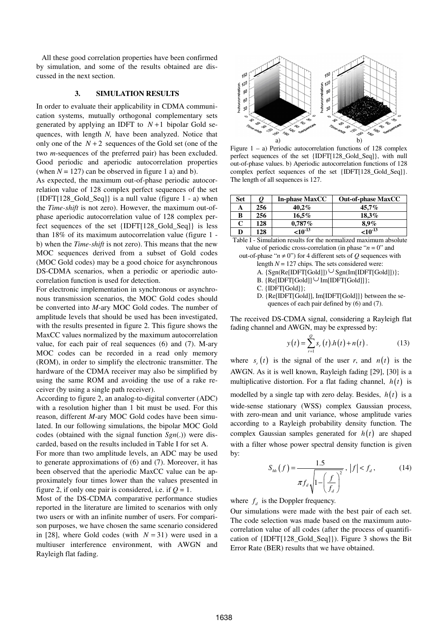All these good correlation properties have been confirmed by simulation, and some of the results obtained are discussed in the next section.

## **3. SIMULATION RESULTS**

In order to evaluate their applicability in CDMA communication systems, mutually orthogonal complementary sets generated by applying an IDFT to  $N+1$  bipolar Gold sequences, with length *N,* have been analyzed. Notice that only one of the  $N+2$  sequences of the Gold set (one of the two *m*-sequences of the preferred pair) has been excluded. Good periodic and aperiodic autocorrelation properties (when  $N = 127$ ) can be observed in figure 1 a) and b).

As expected, the maximum out-of-phase periodic autocorrelation value of 128 complex perfect sequences of the set {IDFT[128\_Gold\_Seq]} is a null value (figure 1 - a) when the *Time-shift* is not zero). However, the maximum out-ofphase aperiodic autocorrelation value of 128 complex perfect sequences of the set {IDFT[128\_Gold\_Seq]} is less than 18% of its maximum autocorrelation value (figure 1 b) when the *Time-shift* is not zero). This means that the new MOC sequences derived from a subset of Gold codes (MOC Gold codes) may be a good choice for asynchronous DS-CDMA scenarios, when a periodic or aperiodic autocorrelation function is used for detection.

For electronic implementation in synchronous or asynchronous transmission scenarios, the MOC Gold codes should be converted into *M*-ary MOC Gold codes. The number of amplitude levels that should be used has been investigated, with the results presented in figure 2. This figure shows the MaxCC values normalized by the maximum autocorrelation value, for each pair of real sequences (6) and (7). M-ary MOC codes can be recorded in a read only memory (ROM), in order to simplify the electronic transmitter. The hardware of the CDMA receiver may also be simplified by using the same ROM and avoiding the use of a rake receiver (by using a single path receiver).

According to figure 2, an analog-to-digital converter (ADC) with a resolution higher than 1 bit must be used. For this reason, different *M*-ary MOC Gold codes have been simulated. In our following simulations, the bipolar MOC Gold codes (obtained with the signal function *Sgn*(.)) were discarded, based on the results included in Table I for set A.

For more than two amplitude levels, an ADC may be used to generate approximations of (6) and (7). Moreover, it has been observed that the aperiodic MaxCC value can be approximately four times lower than the values presented in figure 2, if only one pair is considered, i.e. if  $Q = 1$ .

Most of the DS-CDMA comparative performance studies reported in the literature are limited to scenarios with only two users or with an infinite number of users. For comparison purposes, we have chosen the same scenario considered in [28], where Gold codes (with  $N = 31$ ) were used in a multiuser interference environment, with AWGN and Rayleigh flat fading.



Figure 1 – a) Periodic autocorrelation functions of 128 complex perfect sequences of the set {IDFT[128\_Gold\_Seq]}, with null out-of-phase values. b) Aperiodic autocorrelation functions of 128 complex perfect sequences of the set {IDFT[128\_Gold\_Seq]}. The length of all sequences is 127.

| Set |     | <b>In-phase MaxCC</b> | <b>Out-of-phase MaxCC</b> |
|-----|-----|-----------------------|---------------------------|
| А   | 256 | 40.2%                 | $45.7\%$                  |
| В   | 256 | 16,5%                 | $18.3\%$                  |
| С   | 128 | $0,787\%$             | $8.9\%$                   |
| D   | 128 | $\leq 10^{-13}$       | $\leq 10^{-13}$           |

Table I - Simulation results for the normalized maximum absolute value of periodic cross-correlation (in phase " $n = 0$ " and out-of-phase " $n \neq 0$ ") for 4 different sets of O sequences with

- length  $N = 127$  chips. The sets considered were:
- A.  $\{Sgn(Re[IDFT[Gold]]) \cup Sgn(Im[IDFT[Gold]])\};$
- B.  $\{Re[\text{IDFT}[Gold]] \cup Im[\text{IDFT}[Gold]]\};$
- C. {IDFT[Gold]};
- D. {Re[IDFT[Gold]], Im[IDFT[Gold]]} between the sequences of each pair defined by (6) and (7).

The received DS-CDMA signal, considering a Rayleigh flat fading channel and AWGN, may be expressed by:

$$
y(t) = \sum_{r=1}^{Q} s_r(t) h(t) + n(t).
$$
 (13)

where  $s_r(t)$  is the signal of the user *r*, and  $n(t)$  is the AWGN. As it is well known, Rayleigh fading [29], [30] is a multiplicative distortion. For a flat fading channel,  $h(t)$  is modelled by a single tap with zero delay. Besides,  $h(t)$  is a wide-sense stationary (WSS) complex Gaussian process, with zero-mean and unit variance, whose amplitude varies according to a Rayleigh probability density function. The complex Gaussian samples generated for  $h(t)$  are shaped with a filter whose power spectral density function is given by:

$$
S_{hh}(f) = \frac{1.5}{\pi f_d \sqrt{1 - \left(\frac{f}{f_d}\right)^2}}, \ |f| < f_d,
$$
\n(14)

where  $f_d$  is the Doppler frequency.

Our simulations were made with the best pair of each set. The code selection was made based on the maximum autocorrelation value of all codes (after the process of quantification of {IDFT[128\_Gold\_Seq]}). Figure 3 shows the Bit Error Rate (BER) results that we have obtained.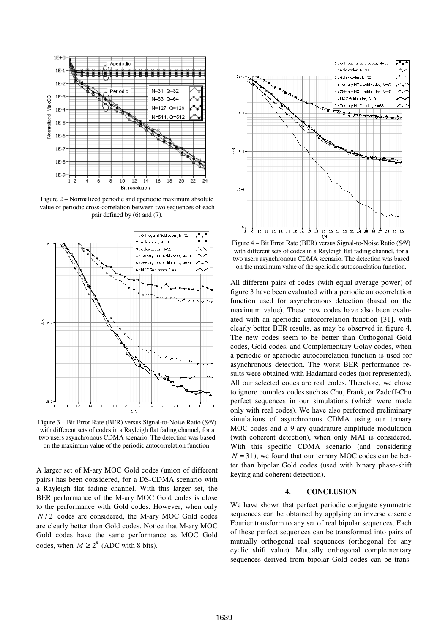

Figure 2 – Normalized periodic and aperiodic maximum absolute value of periodic cross-correlation between two sequences of each pair defined by (6) and (7).



Figure 3 – Bit Error Rate (BER) versus Signal-to-Noise Ratio (*S/N*) with different sets of codes in a Rayleigh flat fading channel, for a two users asynchronous CDMA scenario. The detection was based on the maximum value of the periodic autocorrelation function.

A larger set of M-ary MOC Gold codes (union of different pairs) has been considered, for a DS-CDMA scenario with a Rayleigh flat fading channel. With this larger set, the BER performance of the M-ary MOC Gold codes is close to the performance with Gold codes. However, when only *N* / 2 codes are considered, the M-ary MOC Gold codes are clearly better than Gold codes. Notice that M-ary MOC Gold codes have the same performance as MOC Gold codes, when  $M \ge 2^8$  (ADC with 8 bits).



Figure 4 – Bit Error Rate (BER) versus Signal-to-Noise Ratio (*S/N*) with different sets of codes in a Rayleigh flat fading channel, for a two users asynchronous CDMA scenario. The detection was based on the maximum value of the aperiodic autocorrelation function.

All different pairs of codes (with equal average power) of figure 3 have been evaluated with a periodic autocorrelation function used for asynchronous detection (based on the maximum value). These new codes have also been evaluated with an aperiodic autocorrelation function [31], with clearly better BER results, as may be observed in figure 4. The new codes seem to be better than Orthogonal Gold codes, Gold codes, and Complementary Golay codes, when a periodic or aperiodic autocorrelation function is used for asynchronous detection. The worst BER performance results were obtained with Hadamard codes (not represented). All our selected codes are real codes. Therefore, we chose to ignore complex codes such as Chu, Frank, or Zadoff-Chu perfect sequences in our simulations (which were made only with real codes). We have also performed preliminary simulations of asynchronous CDMA using our ternary MOC codes and a 9-ary quadrature amplitude modulation (with coherent detection), when only MAI is considered. With this specific CDMA scenario (and considering  $N = 31$ ), we found that our ternary MOC codes can be better than bipolar Gold codes (used with binary phase-shift keying and coherent detection).

## **4. CONCLUSION**

We have shown that perfect periodic conjugate symmetric sequences can be obtained by applying an inverse discrete Fourier transform to any set of real bipolar sequences. Each of these perfect sequences can be transformed into pairs of mutually orthogonal real sequences (orthogonal for any cyclic shift value). Mutually orthogonal complementary sequences derived from bipolar Gold codes can be trans